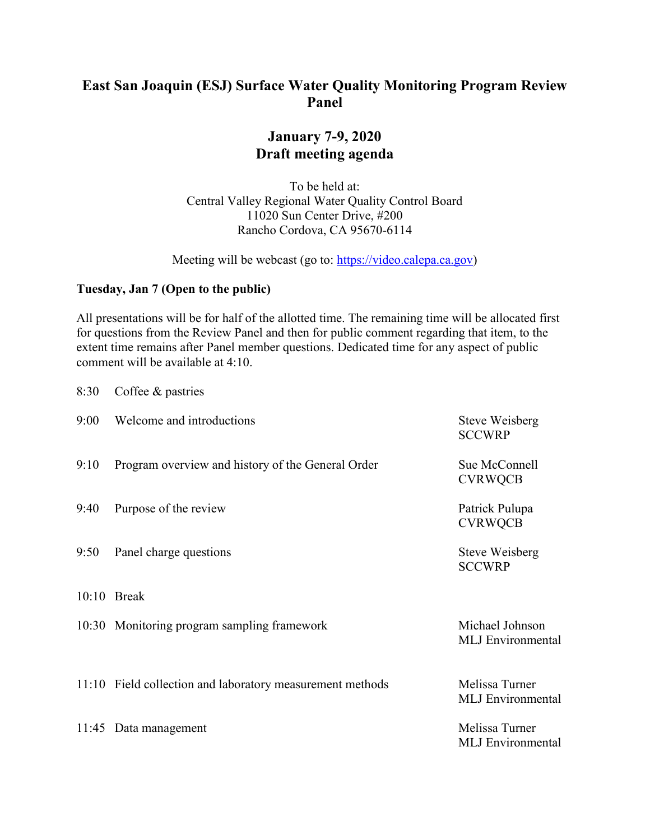# **East San Joaquin (ESJ) Surface Water Quality Monitoring Program Review Panel**

## **January 7-9, 2020 Draft meeting agenda**

To be held at: Central Valley Regional Water Quality Control Board 11020 Sun Center Drive, #200 Rancho Cordova, CA 95670-6114

Meeting will be webcast (go to: [https://video.calepa.ca.gov\)](https://video.calepa.ca.gov/)

### **Tuesday, Jan 7 (Open to the public)**

All presentations will be for half of the allotted time. The remaining time will be allocated first for questions from the Review Panel and then for public comment regarding that item, to the extent time remains after Panel member questions. Dedicated time for any aspect of public comment will be available at 4:10.

| 8:30  | Coffee & pastries                                         |                                             |
|-------|-----------------------------------------------------------|---------------------------------------------|
| 9:00  | Welcome and introductions                                 | <b>Steve Weisberg</b><br><b>SCCWRP</b>      |
| 9:10  | Program overview and history of the General Order         | Sue McConnell<br><b>CVRWQCB</b>             |
| 9:40  | Purpose of the review                                     | Patrick Pulupa<br><b>CVRWQCB</b>            |
| 9:50  | Panel charge questions                                    | Steve Weisberg<br><b>SCCWRP</b>             |
|       | $10:10$ Break                                             |                                             |
|       | 10:30 Monitoring program sampling framework               | Michael Johnson<br><b>MLJ</b> Environmental |
|       | 11:10 Field collection and laboratory measurement methods | Melissa Turner<br><b>MLJ</b> Environmental  |
| 11:45 | Data management                                           | Melissa Turner<br><b>MLJ</b> Environmental  |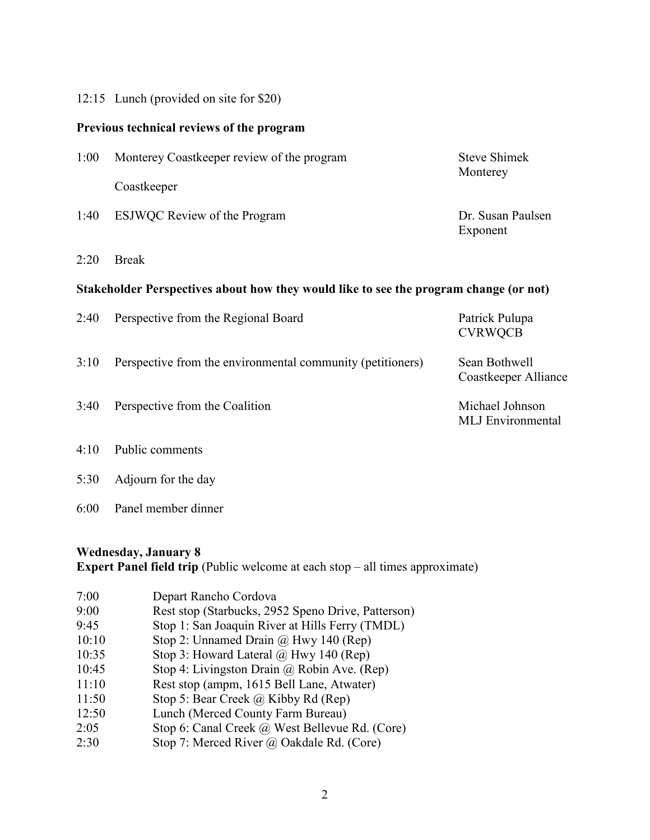#### 12:15 Lunch (provided on site for \$20)

#### **Previous technical reviews of the program**

| 1:00 | Monterey Coastkeeper review of the program | Steve Shimek<br>Monterey |
|------|--------------------------------------------|--------------------------|
|      | Coastkeeper                                |                          |
| 1:40 | <b>ESJWQC</b> Review of the Program        | Dr. Susan Paulsen        |

2:20 Break

### **Stakeholder Perspectives about how they would like to see the program change (or not)**

Exponent

| 2:40 | Perspective from the Regional Board                        | Patrick Pulupa<br><b>CVRWQCB</b>            |
|------|------------------------------------------------------------|---------------------------------------------|
| 3:10 | Perspective from the environmental community (petitioners) | Sean Bothwell<br>Coastkeeper Alliance       |
| 3:40 | Perspective from the Coalition                             | Michael Johnson<br><b>MLJ</b> Environmental |
|      | $4.10 \cdot R_{\odot}1.1$ . $\ldots$                       |                                             |

- 4:10 Public comments
- 5:30 Adjourn for the day
- 6:00 Panel member dinner

#### **Wednesday, January 8**

**Expert Panel field trip** (Public welcome at each stop – all times approximate)

| 7:00  | Depart Rancho Cordova                              |
|-------|----------------------------------------------------|
| 9:00  | Rest stop (Starbucks, 2952 Speno Drive, Patterson) |
| 9:45  | Stop 1: San Joaquin River at Hills Ferry (TMDL)    |
| 10:10 | Stop 2: Unnamed Drain $\omega$ Hwy 140 (Rep)       |
| 10:35 | Stop 3: Howard Lateral @ Hwy 140 (Rep)             |
| 10:45 | Stop 4: Livingston Drain $\omega$ Robin Ave. (Rep) |
| 11:10 | Rest stop (ampm, 1615 Bell Lane, Atwater)          |
| 11:50 | Stop 5: Bear Creek @ Kibby Rd (Rep)                |
| 12:50 | Lunch (Merced County Farm Bureau)                  |
| 2:05  | Stop 6: Canal Creek @ West Bellevue Rd. (Core)     |
| 2:30  | Stop 7: Merced River @ Oakdale Rd. (Core)          |